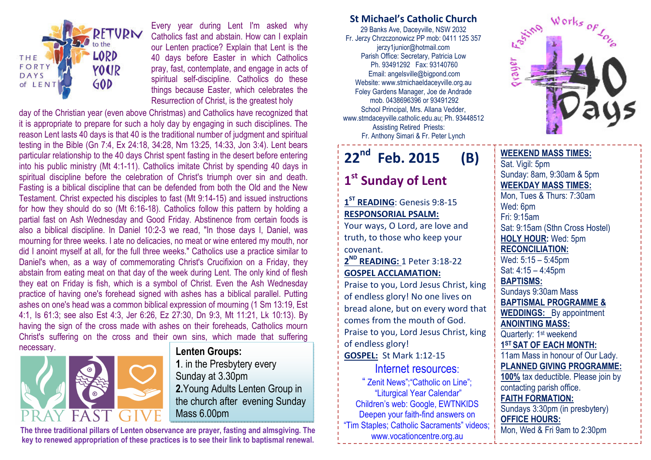

Every year during Lent I'm asked why Catholics fast and abstain. How can I explain our Lenten practice? Explain that Lent is the 40 days before Easter in which Catholics pray, fast, contemplate, and engage in acts of spiritual self-discipline. Catholics do these things because Easter, which celebrates the Resurrection of Christ, is the greatest holy

day of the Christian year (even above Christmas) and Catholics have recognized that it is appropriate to prepare for such a holy day by engaging in such disciplines. The reason Lent lasts 40 days is that 40 is the traditional number of judgment and spiritual testing in the Bible (Gn 7:4, Ex 24:18, 34:28, Nm 13:25, 14:33, Jon 3:4). Lent bears particular relationship to the 40 days Christ spent fasting in the desert before entering into his public ministry (Mt 4:1-11). Catholics imitate Christ by spending 40 days in spiritual discipline before the celebration of Christ's triumph over sin and death. Fasting is a biblical discipline that can be defended from both the Old and the New Testament. Christ expected his disciples to fast (Mt 9:14-15) and issued instructions for how they should do so (Mt 6:16-18). Catholics follow this pattern by holding a partial fast on Ash Wednesday and Good Friday. Abstinence from certain foods is also a biblical discipline. In Daniel 10:2-3 we read, "In those days I, Daniel, was mourning for three weeks. I ate no delicacies, no meat or wine entered my mouth, nor did I anoint myself at all, for the full three weeks." Catholics use a practice similar to Daniel's when, as a way of commemorating Christ's Crucifixion on a Friday, they abstain from eating meat on that day of the week during Lent. The only kind of flesh they eat on Friday is fish, which is a symbol of Christ. Even the Ash Wednesday practice of having one's forehead signed with ashes has a biblical parallel. Putting ashes on one's head was a common biblical expression of mourning (1 Sm 13:19, Est 4:1, Is 61:3; see also Est 4:3, Jer 6:26, Ez 27:30, Dn 9:3, Mt 11:21, Lk 10:13). By having the sign of the cross made with ashes on their foreheads, Catholics mourn Christ's suffering on the cross and their own sins, which made that suffering necessary.



#### Lenten Groups:

1. in the Presbytery every Sunday at 3.30pm 2.Young Adults Lenten Group in the church after evening Sunday Mass 6.00pm

The three traditional pillars of Lenten observance are prayer, fasting and almsgiving. The key to renewed appropriation of these practices is to see their link to baptismal renewal.

### St Michael's Catholic Church

29 Banks Ave, Daceyville, NSW 2032 Fr. Jerzy Chrzczonowicz PP mob: 0411 125 357 jerzy1junior@hotmail.com Parish Office: Secretary, Patricia Low Ph. 93491292 Fax: 93140760 Email: angelsville@bigpond.com Website: www.stmichaeldaceyville.org.au Foley Gardens Manager, Joe de Andrade mob. 0438696396 or 93491292 School Principal, Mrs. Allana Vedder, www.stmdaceyville.catholic.edu.au; Ph. 93448512 Assisting Retired Priests: Fr. Anthony Simari & Fr. Peter Lynch

# 22<sup>nd</sup> Feb. 2015 (B)

# 1<sup>st</sup> Sunday of Lent

1<sup>ST</sup> READING: Genesis 9:8-15 RESPONSORIAL PSALM:

Your ways, O Lord, are love and truth, to those who keep your covenant.

 $2^{\textsf{ND}}$  READING: 1 Peter 3:18-22 GOSPEL ACCLAMATION:

Praise to you, Lord Jesus Christ, king of endless glory! No one lives on bread alone, but on every word that comes from the mouth of God. Praise to you, Lord Jesus Christ, king of endless glory! GOSPEL: St Mark 1:12-15

## Internet resources:

" Zenit News";"Catholic on Line"; "Liturgical Year Calendar" Children's web: Google, EWTNKIDS Deepen your faith-find answers on "Tim Staples; Catholic Sacraments" videos; www.vocationcentre.org.au



#### WEEKEND MASS TIMES:Sat. Vigil: 5pm Sunday: 8am, 9:30am & 5pm WEEKDAY MASS TIMES: Mon, Tues & Thurs: 7:30am Wed: 6pm Fri: 9:15am Sat: 9:15am (Sthn Cross Hostel) HOLY HOUR: Wed: 5pm RECONCILIATION: Wed: 5:15 – 5:45pm Sat: 4:15 – 4:45pm BAPTISMS: Sundays 9:30am Mass BAPTISMAL PROGRAMME & **WEDDINGS:** By appointment ANOINTING MASS: Quarterly: 1<sup>st</sup> weekend 1<sup>ST</sup> SAT OF EACH MONTH: 11am Mass in honour of Our Lady. PLANNED GIVING PROGRAMME: 100% tax deductible. Please join by contacting parish office. FAITH FORMATION: Sundays 3:30pm (in presbytery) OFFICE HOURS: Mon, Wed & Fri 9am to 2:30pm